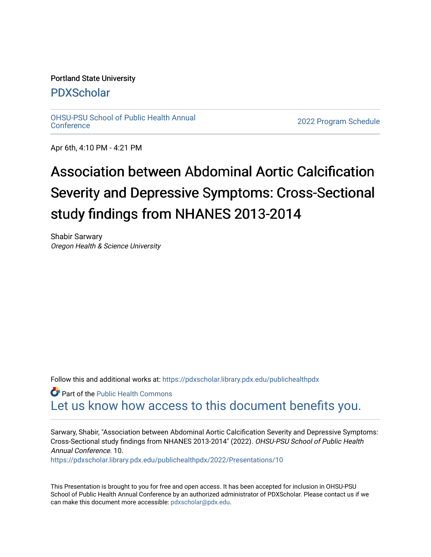## Portland State University

# [PDXScholar](https://pdxscholar.library.pdx.edu/)

[OHSU-PSU School of Public Health Annual](https://pdxscholar.library.pdx.edu/publichealthpdx)

2022 Program Schedule

Apr 6th, 4:10 PM - 4:21 PM

# Association between Abdominal Aortic Calcification Severity and Depressive Symptoms: Cross-Sectional study findings from NHANES 2013-2014

Shabir Sarwary Oregon Health & Science University

Follow this and additional works at: https://pdxscholar.library.pdx.edu/publichealthpdx

Part of the [Public Health Commons](http://network.bepress.com/hgg/discipline/738?utm_source=pdxscholar.library.pdx.edu%2Fpublichealthpdx%2F2022%2FPresentations%2F10&utm_medium=PDF&utm_campaign=PDFCoverPages)  [Let us know how access to this document benefits you.](http://library.pdx.edu/services/pdxscholar-services/pdxscholar-feedback/) 

Sarwary, Shabir, "Association between Abdominal Aortic Calcification Severity and Depressive Symptoms: Cross-Sectional study findings from NHANES 2013-2014" (2022). OHSU-PSU School of Public Health Annual Conference. 10.

[https://pdxscholar.library.pdx.edu/publichealthpdx/2022/Presentations/10](https://pdxscholar.library.pdx.edu/publichealthpdx/2022/Presentations/10?utm_source=pdxscholar.library.pdx.edu%2Fpublichealthpdx%2F2022%2FPresentations%2F10&utm_medium=PDF&utm_campaign=PDFCoverPages)

This Presentation is brought to you for free and open access. It has been accepted for inclusion in OHSU-PSU School of Public Health Annual Conference by an authorized administrator of PDXScholar. Please contact us if we can make this document more accessible: [pdxscholar@pdx.edu.](mailto:pdxscholar@pdx.edu)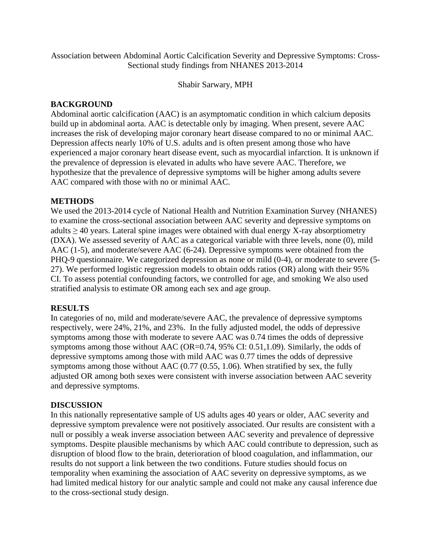Association between Abdominal Aortic Calcification Severity and Depressive Symptoms: Cross-Sectional study findings from NHANES 2013-2014

Shabir Sarwary, MPH

#### **BACKGROUND**

Abdominal aortic calcification (AAC) is an asymptomatic condition in which calcium deposits build up in abdominal aorta. AAC is detectable only by imaging. When present, severe AAC increases the risk of developing major coronary heart disease compared to no or minimal AAC. Depression affects nearly 10% of U.S. adults and is often present among those who have experienced a major coronary heart disease event, such as myocardial infarction. It is unknown if the prevalence of depression is elevated in adults who have severe AAC. Therefore, we hypothesize that the prevalence of depressive symptoms will be higher among adults severe AAC compared with those with no or minimal AAC.

#### **METHODS**

We used the 2013-2014 cycle of National Health and Nutrition Examination Survey (NHANES) to examine the cross-sectional association between AAC severity and depressive symptoms on adults  $\geq$  40 years. Lateral spine images were obtained with dual energy X-ray absorptiometry (DXA). We assessed severity of AAC as a categorical variable with three levels, none (0), mild AAC (1-5), and moderate/severe AAC (6-24). Depressive symptoms were obtained from the PHQ-9 questionnaire. We categorized depression as none or mild (0-4), or moderate to severe (5- 27). We performed logistic regression models to obtain odds ratios (OR) along with their 95% CI. To assess potential confounding factors, we controlled for age, and smoking We also used stratified analysis to estimate OR among each sex and age group.

#### **RESULTS**

In categories of no, mild and moderate/severe AAC, the prevalence of depressive symptoms respectively, were 24%, 21%, and 23%. In the fully adjusted model, the odds of depressive symptoms among those with moderate to severe AAC was 0.74 times the odds of depressive symptoms among those without AAC (OR=0.74, 95% CI: 0.51,1.09). Similarly, the odds of depressive symptoms among those with mild AAC was 0.77 times the odds of depressive symptoms among those without AAC (0.77 (0.55, 1.06). When stratified by sex, the fully adjusted OR among both sexes were consistent with inverse association between AAC severity and depressive symptoms.

#### **DISCUSSION**

In this nationally representative sample of US adults ages 40 years or older, AAC severity and depressive symptom prevalence were not positively associated. Our results are consistent with a null or possibly a weak inverse association between AAC severity and prevalence of depressive symptoms. Despite plausible mechanisms by which AAC could contribute to depression, such as disruption of blood flow to the brain, deterioration of blood coagulation, and inflammation, our results do not support a link between the two conditions. Future studies should focus on temporality when examining the association of AAC severity on depressive symptoms, as we had limited medical history for our analytic sample and could not make any causal inference due to the cross-sectional study design.